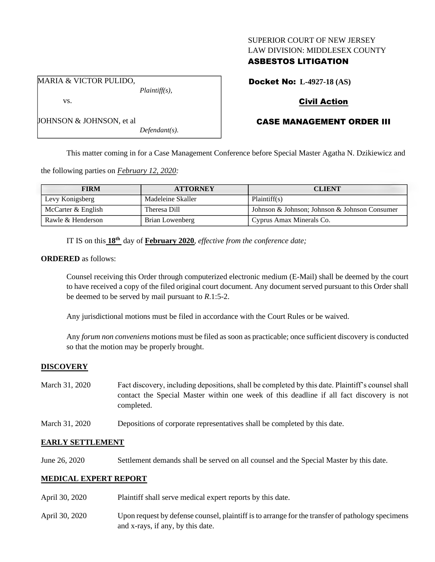## SUPERIOR COURT OF NEW JERSEY LAW DIVISION: MIDDLESEX COUNTY

# ASBESTOS LITIGATION

Docket No: **L-4927-18 (AS)**

# Civil Action

# CASE MANAGEMENT ORDER III

This matter coming in for a Case Management Conference before Special Master Agatha N. Dzikiewicz and

the following parties on *February 12, 2020:*

| <b>FIRM</b>        | <b>ATTORNEY</b>   | <b>CLIENT</b>                                 |
|--------------------|-------------------|-----------------------------------------------|
| Levy Konigsberg    | Madeleine Skaller | Plaintiff(s)                                  |
| McCarter & English | Theresa Dill      | Johnson & Johnson; Johnson & Johnson Consumer |
| Rawle & Henderson  | Brian Lowenberg   | Cyprus Amax Minerals Co.                      |

IT IS on this **18th** day of **February 2020**, *effective from the conference date;*

*Defendant(s).*

### **ORDERED** as follows:

Counsel receiving this Order through computerized electronic medium (E-Mail) shall be deemed by the court to have received a copy of the filed original court document. Any document served pursuant to this Order shall be deemed to be served by mail pursuant to *R*.1:5-2.

Any jurisdictional motions must be filed in accordance with the Court Rules or be waived.

Any *forum non conveniens* motions must be filed as soon as practicable; once sufficient discovery is conducted so that the motion may be properly brought.

### **DISCOVERY**

| March 31, 2020 | Fact discovery, including depositions, shall be completed by this date. Plaintiff's counsel shall |  |
|----------------|---------------------------------------------------------------------------------------------------|--|
|                | contact the Special Master within one week of this deadline if all fact discovery is not          |  |
|                | completed.                                                                                        |  |

March 31, 2020 Depositions of corporate representatives shall be completed by this date.

## **EARLY SETTLEMENT**

June 26, 2020 Settlement demands shall be served on all counsel and the Special Master by this date.

## **MEDICAL EXPERT REPORT**

- April 30, 2020 Plaintiff shall serve medical expert reports by this date.
- April 30, 2020 Upon request by defense counsel, plaintiff is to arrange for the transfer of pathology specimens and x-rays, if any, by this date.

MARIA & VICTOR PULIDO, *Plaintiff(s),*

JOHNSON & JOHNSON, et al

vs.